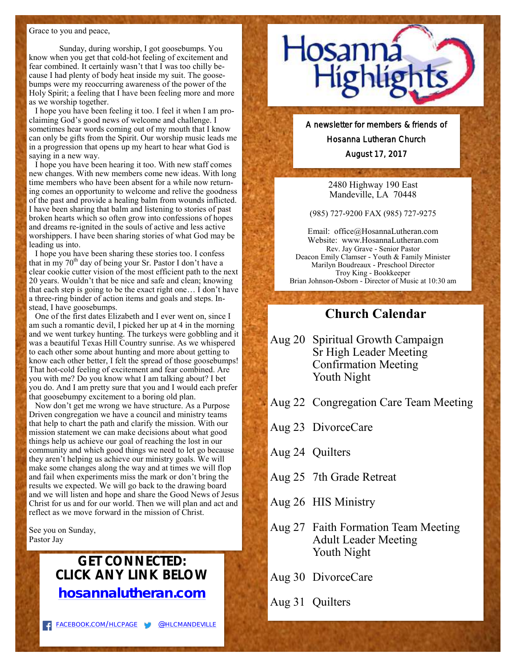#### Grace to you and peace,

Sunday, during worship, I got goosebumps. You know when you get that cold-hot feeling of excitement and fear combined. It certainly wasn't that I was too chilly because I had plenty of body heat inside my suit. The goosebumps were my reoccurring awareness of the power of the Holy Spirit; a feeling that I have been feeling more and more as we worship together.

I hope you have been feeling it too. I feel it when I am proclaiming God's good news of welcome and challenge. I sometimes hear words coming out of my mouth that I know can only be gifts from the Spirit. Our worship music leads me in a progression that opens up my heart to hear what God is saying in a new way.

I hope you have been hearing it too. With new staff comes new changes. With new members come new ideas. With long time members who have been absent for a while now returning comes an opportunity to welcome and relive the goodness of the past and provide a healing balm from wounds inflicted. I have been sharing that balm and listening to stories of past broken hearts which so often grow into confessions of hopes and dreams re-ignited in the souls of active and less active worshippers. I have been sharing stories of what God may be leading us into.

I hope you have been sharing these stories too. I confess that in my  $70<sup>th</sup>$  day of being your Sr. Pastor I don't have a clear cookie cutter vision of the most efficient path to the next 20 years. Wouldn't that be nice and safe and clean; knowing that each step is going to be the exact right one… I don't have a three-ring binder of action items and goals and steps. Instead, I have goosebumps.

One of the first dates Elizabeth and I ever went on, since I am such a romantic devil, I picked her up at 4 in the morning and we went turkey hunting. The turkeys were gobbling and it was a beautiful Texas Hill Country sunrise. As we whispered to each other some about hunting and more about getting to know each other better, I felt the spread of those goosebumps! That hot-cold feeling of excitement and fear combined. Are you with me? Do you know what I am talking about? I bet you do. And I am pretty sure that you and I would each prefer that goosebumpy excitement to a boring old plan.

Now don't get me wrong we have structure. As a Purpose Driven congregation we have a council and ministry teams that help to chart the path and clarify the mission. With our mission statement we can make decisions about what good things help us achieve our goal of reaching the lost in our community and which good things we need to let go because they aren't helping us achieve our ministry goals. We will make some changes along the way and at times we will flop and fail when experiments miss the mark or don't bring the results we expected. We will go back to the drawing board and we will listen and hope and share the Good News of Jesus Christ for us and for our world. Then we will plan and act and reflect as we move forward in the mission of Christ.

See you on Sunday, Pastor Jay

## **GET CONNECTED: CLICK ANY LINK BELOW [hosannalutheran.com](http://hosannalutheran.com/)**



A newsletter for members & friends of Hosanna Lutheran Church August 17, 2017

> 2480 Highway 190 East Mandeville, LA 70448

(985) 727-9200 FAX (985) 727-9275

Email: office@HosannaLutheran.com Website: www.HosannaLutheran.com Rev. Jay Grave - Senior Pastor Deacon Emily Clamser - Youth & Family Minister Marilyn Boudreaux - Preschool Director Troy King - Bookkeeper Brian Johnson-Osborn - Director of Music at 10:30 am

## **Church Calendar**

- Aug 20 Spiritual Growth Campaign Sr High Leader Meeting Confirmation Meeting Youth Night
- Aug 22 Congregation Care Team Meeting
- Aug 23 DivorceCare
- Aug 24 Quilters
- Aug 25 7th Grade Retreat
- Aug 26 HIS Ministry
- Aug 27 Faith Formation Team Meeting Adult Leader Meeting Youth Night
- Aug 30 DivorceCare
- Aug 31 Quilters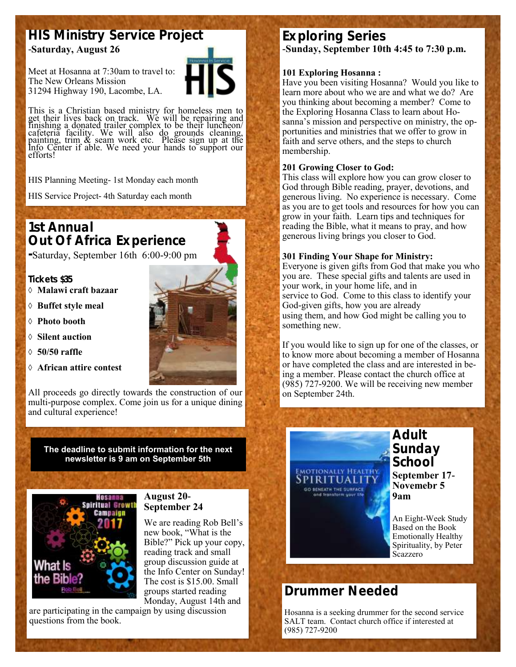## **HIS Ministry Service Project**  -**Saturday, August 26**

Meet at Hosanna at 7:30am to travel to: The New Orleans Mission 31294 Highway 190, Lacombe, LA.



This is a Christian based ministry for homeless men to get their lives back on track. We will be repairing and finishing a donated trailer complex to be their luncheon/ cafeteria facility. We will also do grounds cleaning, painting, trim & seam work etc. Please sign up at the Info Center if able. We need your hands to support our efforts!

HIS Planning Meeting- 1st Monday each month

HIS Service Project- 4th Saturday each month

## **1st Annual Out Of Africa Experience**

**-**Saturday, September 16th 6:00-9:00 pm

### **Tickets \$35**

- **Malawi craft bazaar**
- **Buffet style meal**
- **Photo booth**
- **Silent auction**
- **50/50 raffle**
- **African attire contest**

All proceeds go directly towards the construction of our multi-purpose complex. Come join us for a unique dining and cultural experience!

**The deadline to submit information for the next newsletter is 9 am on September 5th**



### **August 20- September 24**

We are reading Rob Bell's new book, "What is the Bible?" Pick up your copy, reading track and small group discussion guide at the Info Center on Sunday! The cost is \$15.00. Small groups started reading Monday, August 14th and

are participating in the campaign by using discussion questions from the book.

# **Exploring Series**

**-Sunday, September 10th 4:45 to 7:30 p.m.**

### **101 Exploring Hosanna :**

Have you been visiting Hosanna? Would you like to learn more about who we are and what we do? Are you thinking about becoming a member? Come to the Exploring Hosanna Class to learn about Hosanna's mission and perspective on ministry, the opportunities and ministries that we offer to grow in faith and serve others, and the steps to church membership.

### **201 Growing Closer to God:**

This class will explore how you can grow closer to God through Bible reading, prayer, devotions, and generous living. No experience is necessary. Come as you are to get tools and resources for how you can grow in your faith. Learn tips and techniques for reading the Bible, what it means to pray, and how generous living brings you closer to God.

### **301 Finding Your Shape for Ministry:**

Everyone is given gifts from God that make you who you are. These special gifts and talents are used in your work, in your home life, and in service to God. Come to this class to identify your God-given gifts, how you are already using them, and how God might be calling you to something new.

If you would like to sign up for one of the classes, or to know more about becoming a member of Hosanna or have completed the class and are interested in being a member. Please contact the church office at (985) 727-9200. We will be receiving new member on September 24th.



# **Drummer Needed**

Hosanna is a seeking drummer for the second service SALT team. Contact church office if interested at (985) 727-9200